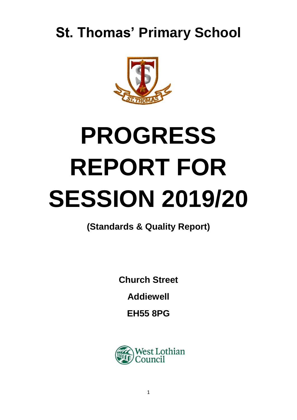# **St. Thomas' Primary School**



# **PROGRESS REPORT FOR SESSION 2019/20**

**(Standards & Quality Report)**

**Church Street**

**Addiewell**

**EH55 8PG**

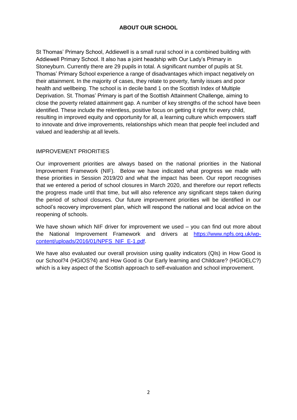## **ABOUT OUR SCHOOL**

St Thomas' Primary School, Addiewell is a small rural school in a combined building with Addiewell Primary School. It also has a joint headship with Our Lady's Primary in Stoneyburn. Currently there are 29 pupils in total. A significant number of pupils at St. Thomas' Primary School experience a range of disadvantages which impact negatively on their attainment. In the majority of cases, they relate to poverty, family issues and poor health and wellbeing. The school is in decile band 1 on the Scottish Index of Multiple Deprivation. St. Thomas' Primary is part of the Scottish Attainment Challenge, aiming to close the poverty related attainment gap. A number of key strengths of the school have been identified. These include the relentless, positive focus on getting it right for every child, resulting in improved equity and opportunity for all, a learning culture which empowers staff to innovate and drive improvements, relationships which mean that people feel included and valued and leadership at all levels.

#### IMPROVEMENT PRIORITIES

Our improvement priorities are always based on the national priorities in the National Improvement Framework (NIF). Below we have indicated what progress we made with these priorities in Session 2019/20 and what the impact has been. Our report recognises that we entered a period of school closures in March 2020, and therefore our report reflects the progress made until that time, but will also reference any significant steps taken during the period of school closures. Our future improvement priorities will be identified in our school's recovery improvement plan, which will respond the national and local advice on the reopening of schools.

We have shown which NIF driver for improvement we used – you can find out more about the National Improvement Framework and drivers at [https://www.npfs.org.uk/wp](https://www.npfs.org.uk/wp-content/uploads/2016/01/NPFS_NIF_E-1.pdf)[content/uploads/2016/01/NPFS\\_NIF\\_E-1.pdf.](https://www.npfs.org.uk/wp-content/uploads/2016/01/NPFS_NIF_E-1.pdf)

We have also evaluated our overall provision using quality indicators (QIs) in How Good is our School?4 (HGIOS?4) and How Good is Our Early learning and Childcare? (HGIOELC?) which is a key aspect of the Scottish approach to self-evaluation and school improvement.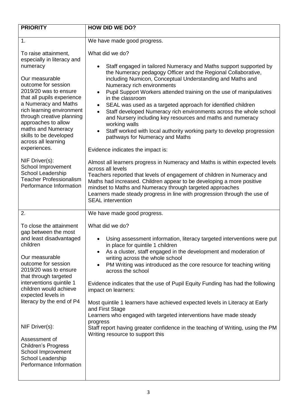| <b>PRIORITY</b>                                                                                                                                                                                                                                                                                                                                                                  | <b>HOW DID WE DO?</b>                                                                                                                                                                                                                                                                                                                                                                                                                                                                                                                                                                                                                                                                                                                        |
|----------------------------------------------------------------------------------------------------------------------------------------------------------------------------------------------------------------------------------------------------------------------------------------------------------------------------------------------------------------------------------|----------------------------------------------------------------------------------------------------------------------------------------------------------------------------------------------------------------------------------------------------------------------------------------------------------------------------------------------------------------------------------------------------------------------------------------------------------------------------------------------------------------------------------------------------------------------------------------------------------------------------------------------------------------------------------------------------------------------------------------------|
| 1.                                                                                                                                                                                                                                                                                                                                                                               | We have made good progress.                                                                                                                                                                                                                                                                                                                                                                                                                                                                                                                                                                                                                                                                                                                  |
| To raise attainment,<br>especially in literacy and<br>numeracy<br>Our measurable<br>outcome for session<br>2019/20 was to ensure<br>that all pupils experience<br>a Numeracy and Maths<br>rich learning environment<br>through creative planning<br>approaches to allow<br>maths and Numeracy<br>skills to be developed<br>across all learning<br>experiences.<br>NIF Driver(s): | What did we do?<br>Staff engaged in tailored Numeracy and Maths support supported by<br>the Numeracy pedagogy Officer and the Regional Collaborative,<br>including Numicon, Conceptual Understanding and Maths and<br>Numeracy rich environments<br>Pupil Support Workers attended training on the use of manipulatives<br>$\bullet$<br>in the classroom<br>SEAL was used as a targeted approach for identified children<br>$\bullet$<br>Staff developed Numeracy rich environments across the whole school<br>and Nursery including key resources and maths and numeracy<br>working walls<br>Staff worked with local authority working party to develop progression<br>pathways for Numeracy and Maths<br>Evidence indicates the impact is: |
| School Improvement<br>School Leadership<br><b>Teacher Professionalism</b><br>Performance Information                                                                                                                                                                                                                                                                             | Almost all learners progress in Numeracy and Maths is within expected levels<br>across all levels<br>Teachers reported that levels of engagement of children in Numeracy and<br>Maths had increased. Children appear to be developing a more positive<br>mindset to Maths and Numeracy through targeted approaches<br>Learners made steady progress in line with progression through the use of<br><b>SEAL</b> intervention                                                                                                                                                                                                                                                                                                                  |
| 2.                                                                                                                                                                                                                                                                                                                                                                               | We have made good progress.                                                                                                                                                                                                                                                                                                                                                                                                                                                                                                                                                                                                                                                                                                                  |
| To close the attainment<br>gap between the most<br>and least disadvantaged<br>children<br>Our measurable<br>outcome for session<br>2019/20 was to ensure<br>that through targeted<br>interventions quintile 1<br>children would achieve<br>expected levels in<br>literacy by the end of P4                                                                                       | What did we do?<br>Using assessment information, literacy targeted interventions were put<br>in place for quintile 1 children<br>As a cluster, staff engaged in the development and moderation of<br>writing across the whole school<br>PM Writing was introduced as the core resource for teaching writing<br>across the school<br>Evidence indicates that the use of Pupil Equity Funding has had the following<br>impact on learners:<br>Most quintile 1 learners have achieved expected levels in Literacy at Early<br>and First Stage                                                                                                                                                                                                   |
| NIF Driver(s):<br>Assessment of<br><b>Children's Progress</b><br>School Improvement<br>School Leadership<br>Performance Information                                                                                                                                                                                                                                              | Learners who engaged with targeted interventions have made steady<br>progress<br>Staff report having greater confidence in the teaching of Writing, using the PM<br>Writing resource to support this                                                                                                                                                                                                                                                                                                                                                                                                                                                                                                                                         |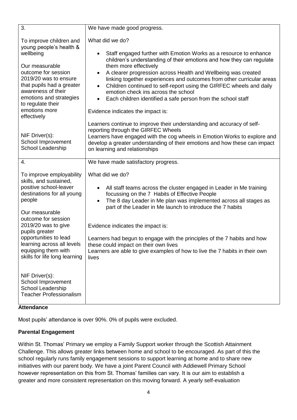| 3.                                                                                                                                                                                                                                                                                                                    | We have made good progress.                                                                                                                                                                                                                                                                                                                                                                                                                                                                                                                                                                            |
|-----------------------------------------------------------------------------------------------------------------------------------------------------------------------------------------------------------------------------------------------------------------------------------------------------------------------|--------------------------------------------------------------------------------------------------------------------------------------------------------------------------------------------------------------------------------------------------------------------------------------------------------------------------------------------------------------------------------------------------------------------------------------------------------------------------------------------------------------------------------------------------------------------------------------------------------|
| To improve children and<br>young people's health &<br>wellbeing<br>Our measurable<br>outcome for session<br>2019/20 was to ensure<br>that pupils had a greater<br>awareness of their<br>emotions and strategies<br>to regulate their<br>emotions more<br>effectively                                                  | What did we do?<br>Staff engaged further with Emotion Works as a resource to enhance<br>$\bullet$<br>children's understanding of their emotions and how they can regulate<br>them more effectively<br>A clearer progression across Health and Wellbeing was created<br>$\bullet$<br>linking together experiences and outcomes from other curricular areas<br>Children continued to self-report using the GIRFEC wheels and daily<br>$\bullet$<br>emotion check ins across the school<br>Each children identified a safe person from the school staff<br>$\bullet$<br>Evidence indicates the impact is: |
| NIF Driver(s):<br>School Improvement<br>School Leadership                                                                                                                                                                                                                                                             | Learners continue to improve their understanding and accuracy of self-<br>reporting through the GIRFEC Wheels<br>Learners have engaged with the cog wheels in Emotion Works to explore and<br>develop a greater understanding of their emotions and how these can impact<br>on learning and relationships                                                                                                                                                                                                                                                                                              |
| 4.                                                                                                                                                                                                                                                                                                                    | We have made satisfactory progress.                                                                                                                                                                                                                                                                                                                                                                                                                                                                                                                                                                    |
| To improve employability<br>skills, and sustained,<br>positive school-leaver<br>destinations for all young<br>people<br>Our measurable<br>outcome for session<br>2019/20 was to give<br>pupils greater<br>opportunities to lead<br>learning across all levels<br>equipping them with<br>skills for life long learning | What did we do?<br>All staff teams across the cluster engaged in Leader in Me training<br>$\bullet$<br>focussing on the 7 Habits of Effective People<br>The 8 day Leader in Me plan was implemented across all stages as<br>$\bullet$<br>part of the Leader in Me launch to introduce the 7 habits<br>Evidence indicates the impact is:<br>Learners had begun to engage with the principles of the 7 habits and how<br>these could impact on their own lives<br>Learners are able to give examples of how to live the 7 habits in their own<br>lives                                                   |
| NIF Driver(s):<br>School Improvement<br>School Leadership<br><b>Teacher Professionalism</b>                                                                                                                                                                                                                           |                                                                                                                                                                                                                                                                                                                                                                                                                                                                                                                                                                                                        |

## **Attendance**

Most pupils' attendance is over 90%. 0% of pupils were excluded.

### **Parental Engagement**

Within St. Thomas' Primary we employ a Family Support worker through the Scottish Attainment Challenge. This allows greater links between home and school to be encouraged. As part of this the school regularly runs family engagement sessions to support learning at home and to share new initiatives with our parent body. We have a joint Parent Council with Addiewell Primary School however representation on this from St. Thomas' families can vary. It is our aim to establish a greater and more consistent representation on this moving forward. A yearly self-evaluation